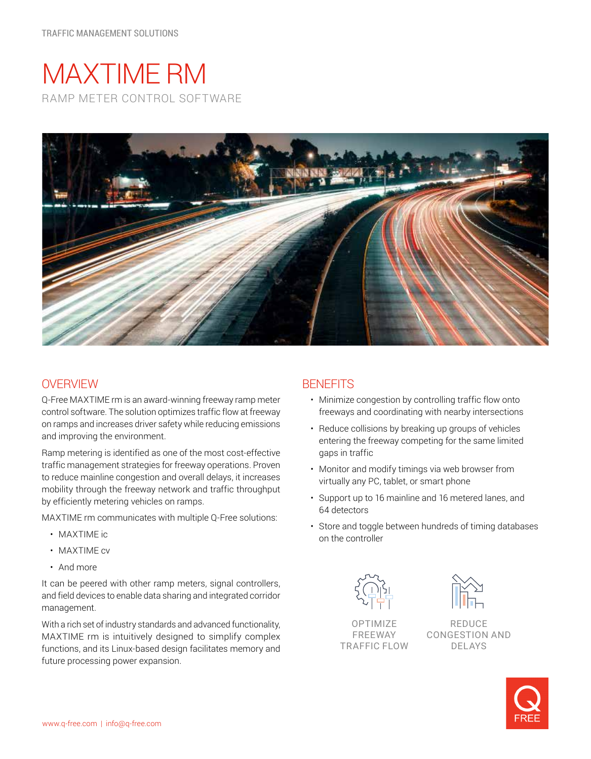# MAXTIME RM RAMP METER CONTROL SOFTWARE



## **OVERVIEW**

Q-Free MAXTIME rm is an award-winning freeway ramp meter control software. The solution optimizes traffic flow at freeway on ramps and increases driver safety while reducing emissions and improving the environment.

Ramp metering is identified as one of the most cost-effective traffic management strategies for freeway operations. Proven to reduce mainline congestion and overall delays, it increases mobility through the freeway network and traffic throughput by efficiently metering vehicles on ramps.

MAXTIME rm communicates with multiple Q-Free solutions:

- MAXTIME ic
- MAXTIME cv
- And more

It can be peered with other ramp meters, signal controllers, and field devices to enable data sharing and integrated corridor management.

With a rich set of industry standards and advanced functionality, MAXTIME rm is intuitively designed to simplify complex functions, and its Linux-based design facilitates memory and future processing power expansion.

## **BENEFITS**

- Minimize congestion by controlling traffic flow onto freeways and coordinating with nearby intersections
- Reduce collisions by breaking up groups of vehicles entering the freeway competing for the same limited gaps in traffic
- Monitor and modify timings via web browser from virtually any PC, tablet, or smart phone
- Support up to 16 mainline and 16 metered lanes, and 64 detectors
- Store and toggle between hundreds of timing databases on the controller



OPTIMIZE FREEWAY TRAFFIC FLOW



REDUCE CONGESTION AND DELAYS